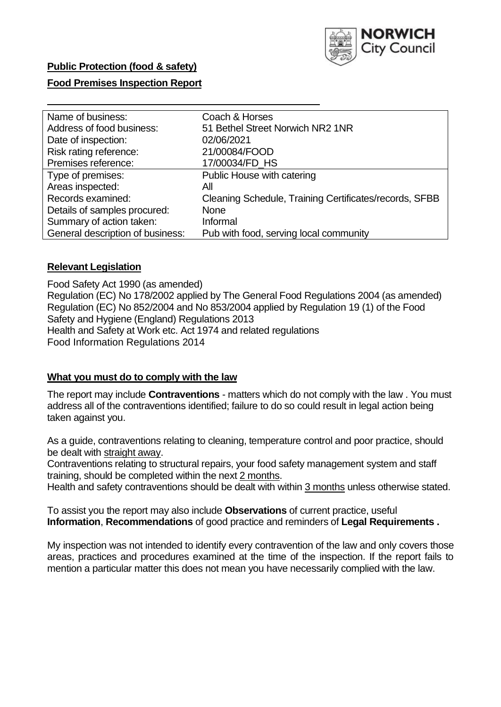

## **Public Protection (food & safety)**

## **Food Premises Inspection Report**

| Name of business:                | Coach & Horses                                         |
|----------------------------------|--------------------------------------------------------|
| Address of food business:        | 51 Bethel Street Norwich NR2 1NR                       |
| Date of inspection:              | 02/06/2021                                             |
| Risk rating reference:           | 21/00084/FOOD                                          |
| Premises reference:              | 17/00034/FD HS                                         |
| Type of premises:                | Public House with catering                             |
| Areas inspected:                 | All                                                    |
| Records examined:                | Cleaning Schedule, Training Certificates/records, SFBB |
| Details of samples procured:     | <b>None</b>                                            |
| Summary of action taken:         | Informal                                               |
| General description of business: | Pub with food, serving local community                 |

## **Relevant Legislation**

 Food Safety Act 1990 (as amended) Regulation (EC) No 178/2002 applied by The General Food Regulations 2004 (as amended) Regulation (EC) No 852/2004 and No 853/2004 applied by Regulation 19 (1) of the Food Safety and Hygiene (England) Regulations 2013 Health and Safety at Work etc. Act 1974 and related regulations Food Information Regulations 2014

## **What you must do to comply with the law**

 The report may include **Contraventions** - matters which do not comply with the law . You must address all of the contraventions identified; failure to do so could result in legal action being taken against you.

 As a guide, contraventions relating to cleaning, temperature control and poor practice, should be dealt with straight away.

 Contraventions relating to structural repairs, your food safety management system and staff training, should be completed within the next 2 months.

Health and safety contraventions should be dealt with within 3 months unless otherwise stated.

 To assist you the report may also include **Observations** of current practice, useful **Information**, **Recommendations** of good practice and reminders of **Legal Requirements .** 

 My inspection was not intended to identify every contravention of the law and only covers those areas, practices and procedures examined at the time of the inspection. If the report fails to mention a particular matter this does not mean you have necessarily complied with the law.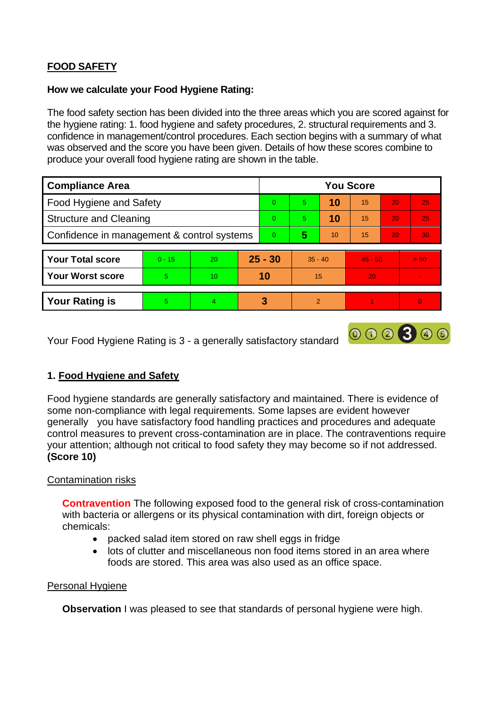# **FOOD SAFETY**

## **How we calculate your Food Hygiene Rating:**

 The food safety section has been divided into the three areas which you are scored against for the hygiene rating: 1. food hygiene and safety procedures, 2. structural requirements and 3. confidence in management/control procedures. Each section begins with a summary of what was observed and the score you have been given. Details of how these scores combine to produce your overall food hygiene rating are shown in the table.

| <b>Compliance Area</b>                     |          |    |           | <b>You Score</b>        |                |    |           |    |          |  |  |
|--------------------------------------------|----------|----|-----------|-------------------------|----------------|----|-----------|----|----------|--|--|
| Food Hygiene and Safety                    |          |    |           | $\Omega$                | 5              | 10 | 15        | 20 | 25       |  |  |
| <b>Structure and Cleaning</b>              |          |    | $\Omega$  | 5.                      | 10             | 15 | 20        | 25 |          |  |  |
| Confidence in management & control systems |          |    | $\Omega$  | $\overline{\mathbf{5}}$ | 10             | 15 | 20        | 30 |          |  |  |
|                                            |          |    |           |                         |                |    |           |    |          |  |  |
| <b>Your Total score</b>                    | $0 - 15$ | 20 | $25 - 30$ |                         | $35 - 40$      |    | $45 - 50$ |    | > 50     |  |  |
| <b>Your Worst score</b>                    | 5        | 10 | 10        |                         | 15             |    | 20        |    |          |  |  |
|                                            |          |    |           |                         |                |    |           |    |          |  |  |
| <b>Your Rating is</b>                      | 5        | 4  |           | 3                       | $\overline{2}$ |    |           |    | $\Omega$ |  |  |

Your Food Hygiene Rating is 3 - a generally satisfactory standard

## **1. Food Hygiene and Safety**

Food hygiene standards are generally satisfactory and maintained. There is evidence of some non-compliance with legal requirements. Some lapses are evident however generally you have satisfactory food handling practices and procedures and adequate control measures to prevent cross-contamination are in place. The contraventions require your attention; although not critical to food safety they may become so if not addressed. **(Score 10)** 

000300

## Contamination risks

 with bacteria or allergens or its physical contamination with dirt, foreign objects or **Contravention** The following exposed food to the general risk of cross-contamination chemicals:

- packed salad item stored on raw shell eggs in fridge
- lots of clutter and miscellaneous non food items stored in an area where foods are stored. This area was also used as an office space.

## Personal Hygiene

**Observation** I was pleased to see that standards of personal hygiene were high.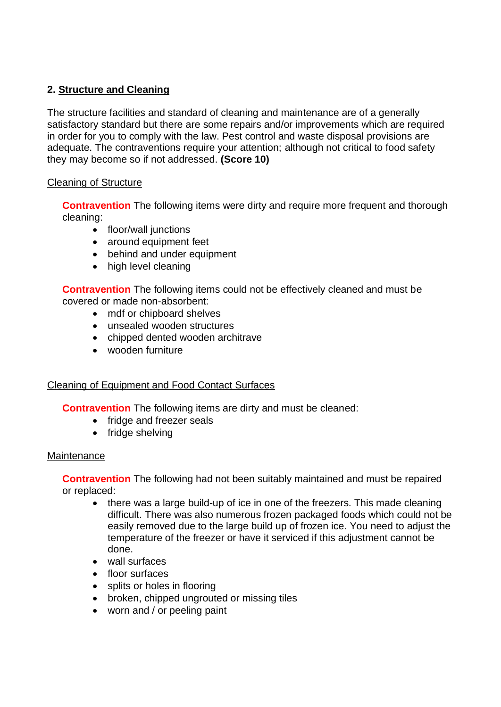## **2. Structure and Cleaning**

 satisfactory standard but there are some repairs and/or improvements which are required The structure facilities and standard of cleaning and maintenance are of a generally in order for you to comply with the law. Pest control and waste disposal provisions are adequate. The contraventions require your attention; although not critical to food safety they may become so if not addressed. **(Score 10)** 

## Cleaning of Structure

**Contravention** The following items were dirty and require more frequent and thorough cleaning:

- floor/wall junctions
- around equipment feet
- behind and under equipment
- high level cleaning

**Contravention** The following items could not be effectively cleaned and must be covered or made non-absorbent:

- mdf or chipboard shelves
- unsealed wooden structures
- chipped dented wooden architrave
- wooden furniture

## Cleaning of Equipment and Food Contact Surfaces

**Contravention** The following items are dirty and must be cleaned:

- fridge and freezer seals
- fridge shelving

## **Maintenance**

**Contravention** The following had not been suitably maintained and must be repaired or replaced:

- • there was a large build-up of ice in one of the freezers. This made cleaning difficult. There was also numerous frozen packaged foods which could not be easily removed due to the large build up of frozen ice. You need to adjust the temperature of the freezer or have it serviced if this adjustment cannot be done.
- wall surfaces
- floor surfaces
- splits or holes in flooring
- broken, chipped ungrouted or missing tiles
- worn and / or peeling paint